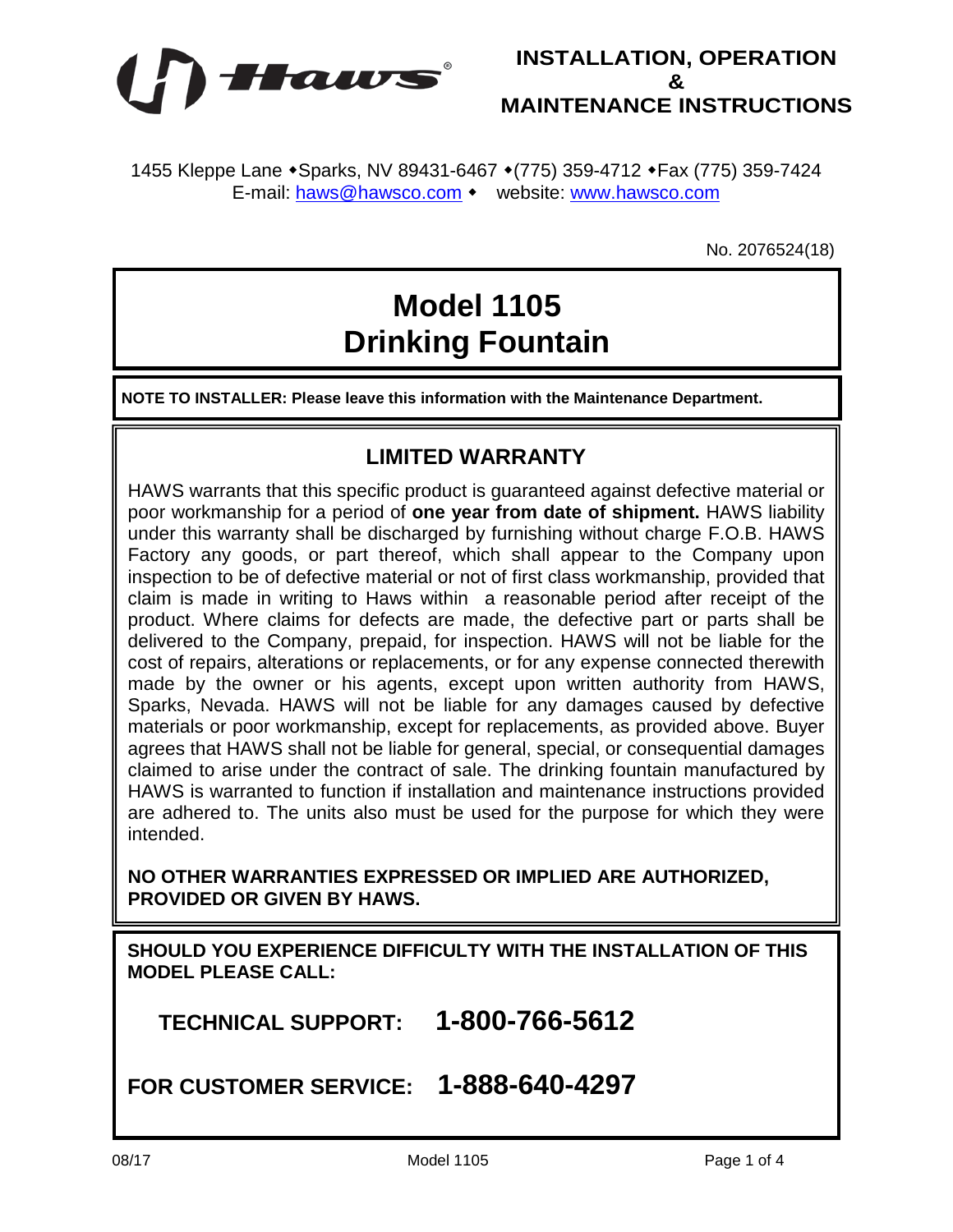



1455 Kleppe Lane • Sparks, NV 89431-6467 • (775) 359-4712 • Fax (775) 359-7424 E-mail: [haws@hawsco.com](mailto:haws@hawsco.com) • website: [www.hawsco.com](http://www.hawsco.com/)

No. 2076524(18)

## **Model 1105 Drinking Fountain**

**NOTE TO INSTALLER: Please leave this information with the Maintenance Department.**

## **LIMITED WARRANTY**

HAWS warrants that this specific product is guaranteed against defective material or poor workmanship for a period of **one year from date of shipment.** HAWS liability under this warranty shall be discharged by furnishing without charge F.O.B. HAWS Factory any goods, or part thereof, which shall appear to the Company upon inspection to be of defective material or not of first class workmanship, provided that claim is made in writing to Haws within a reasonable period after receipt of the product. Where claims for defects are made, the defective part or parts shall be delivered to the Company, prepaid, for inspection. HAWS will not be liable for the cost of repairs, alterations or replacements, or for any expense connected therewith made by the owner or his agents, except upon written authority from HAWS, Sparks, Nevada. HAWS will not be liable for any damages caused by defective materials or poor workmanship, except for replacements, as provided above. Buyer agrees that HAWS shall not be liable for general, special, or consequential damages claimed to arise under the contract of sale. The drinking fountain manufactured by HAWS is warranted to function if installation and maintenance instructions provided are adhered to. The units also must be used for the purpose for which they were intended.

**NO OTHER WARRANTIES EXPRESSED OR IMPLIED ARE AUTHORIZED, PROVIDED OR GIVEN BY HAWS.**

**SHOULD YOU EXPERIENCE DIFFICULTY WITH THE INSTALLATION OF THIS MODEL PLEASE CALL:**

 **TECHNICAL SUPPORT: 1-800-766-5612**

**FOR CUSTOMER SERVICE: 1-888-640-4297**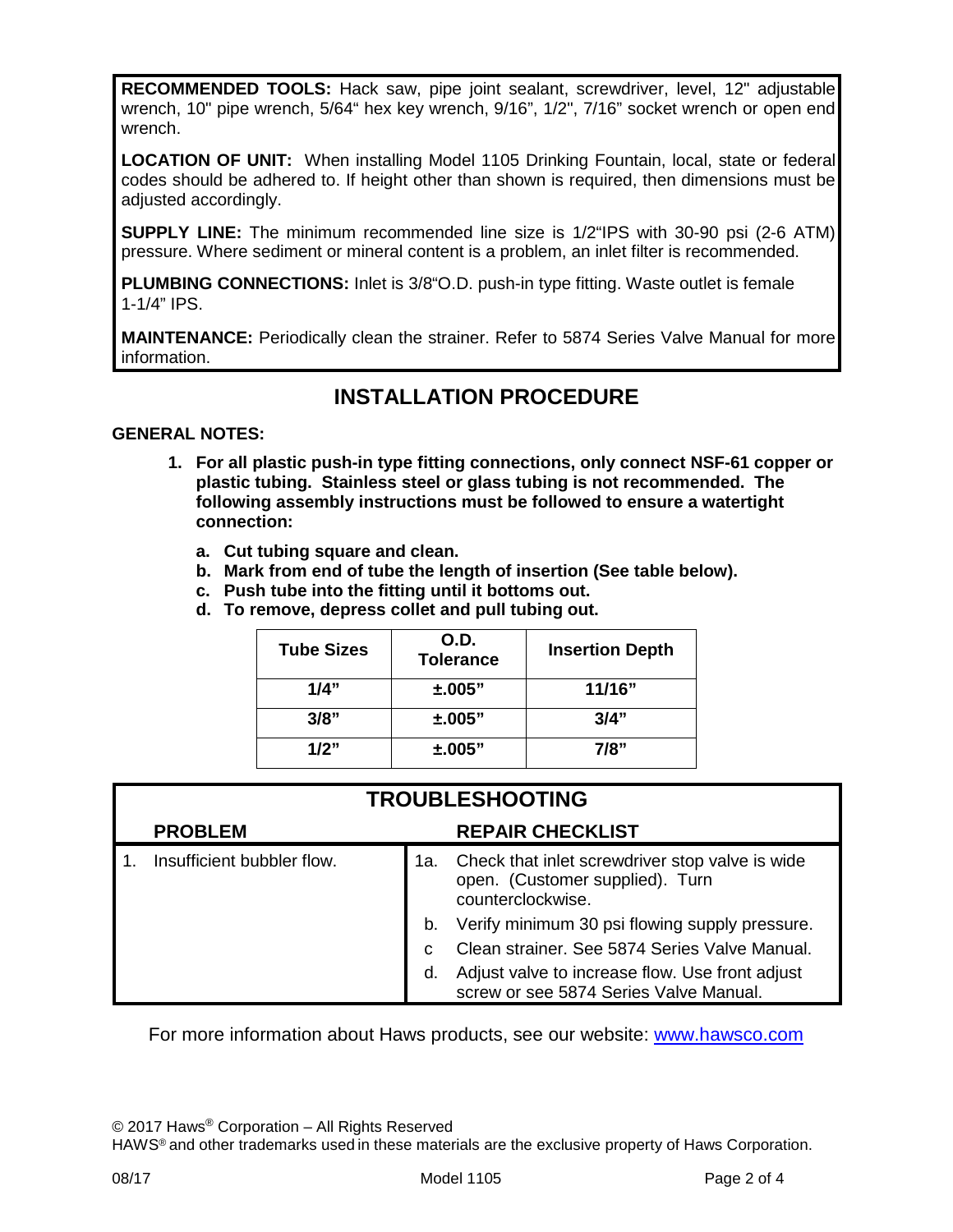**RECOMMENDED TOOLS:** Hack saw, pipe joint sealant, screwdriver, level, 12" adjustable wrench, 10" pipe wrench, 5/64" hex key wrench, 9/16", 1/2", 7/16" socket wrench or open end wrench.

**LOCATION OF UNIT:** When installing Model 1105 Drinking Fountain, local, state or federal codes should be adhered to. If height other than shown is required, then dimensions must be adjusted accordingly.

**SUPPLY LINE:** The minimum recommended line size is 1/2"IPS with 30-90 psi (2-6 ATM) pressure. Where sediment or mineral content is a problem, an inlet filter is recommended.

**PLUMBING CONNECTIONS:** Inlet is 3/8<sup>"</sup>O.D. push-in type fitting. Waste outlet is female 1-1/4" IPS.

**MAINTENANCE:** Periodically clean the strainer. Refer to 5874 Series Valve Manual for more information.

## **INSTALLATION PROCEDURE**

## **GENERAL NOTES:**

- **1. For all plastic push-in type fitting connections, only connect NSF-61 copper or plastic tubing. Stainless steel or glass tubing is not recommended. The following assembly instructions must be followed to ensure a watertight connection:**
	- **a. Cut tubing square and clean.**
	- **b. Mark from end of tube the length of insertion (See table below).**
	- **c. Push tube into the fitting until it bottoms out.**
	- **d. To remove, depress collet and pull tubing out.**

| <b>Tube Sizes</b> | O.D.<br><b>Tolerance</b> | <b>Insertion Depth</b> |
|-------------------|--------------------------|------------------------|
| 1/4"              | ±.005"                   | 11/16"                 |
| 3/8"              | $\pm .005"$              | 3/4"                   |
| 1/2"              | $\pm .005"$              | 7/8"                   |

| <b>TROUBLESHOOTING</b> |                            |     |                                                                                                         |  |
|------------------------|----------------------------|-----|---------------------------------------------------------------------------------------------------------|--|
|                        | <b>PROBLEM</b>             |     | <b>REPAIR CHECKLIST</b>                                                                                 |  |
|                        | Insufficient bubbler flow. | 1a. | Check that inlet screwdriver stop valve is wide<br>open. (Customer supplied). Turn<br>counterclockwise. |  |
|                        |                            | b.  | Verify minimum 30 psi flowing supply pressure.                                                          |  |
|                        |                            | C   | Clean strainer. See 5874 Series Valve Manual.                                                           |  |
|                        |                            | d.  | Adjust valve to increase flow. Use front adjust<br>screw or see 5874 Series Valve Manual.               |  |

For more information about Haws products, see our website: [www.hawsco.com](http://www.hawsco.com/)

© 2017 Haws® Corporation – All Rights Reserved HAWS® and other trademarks used in these materials are the exclusive property of Haws Corporation.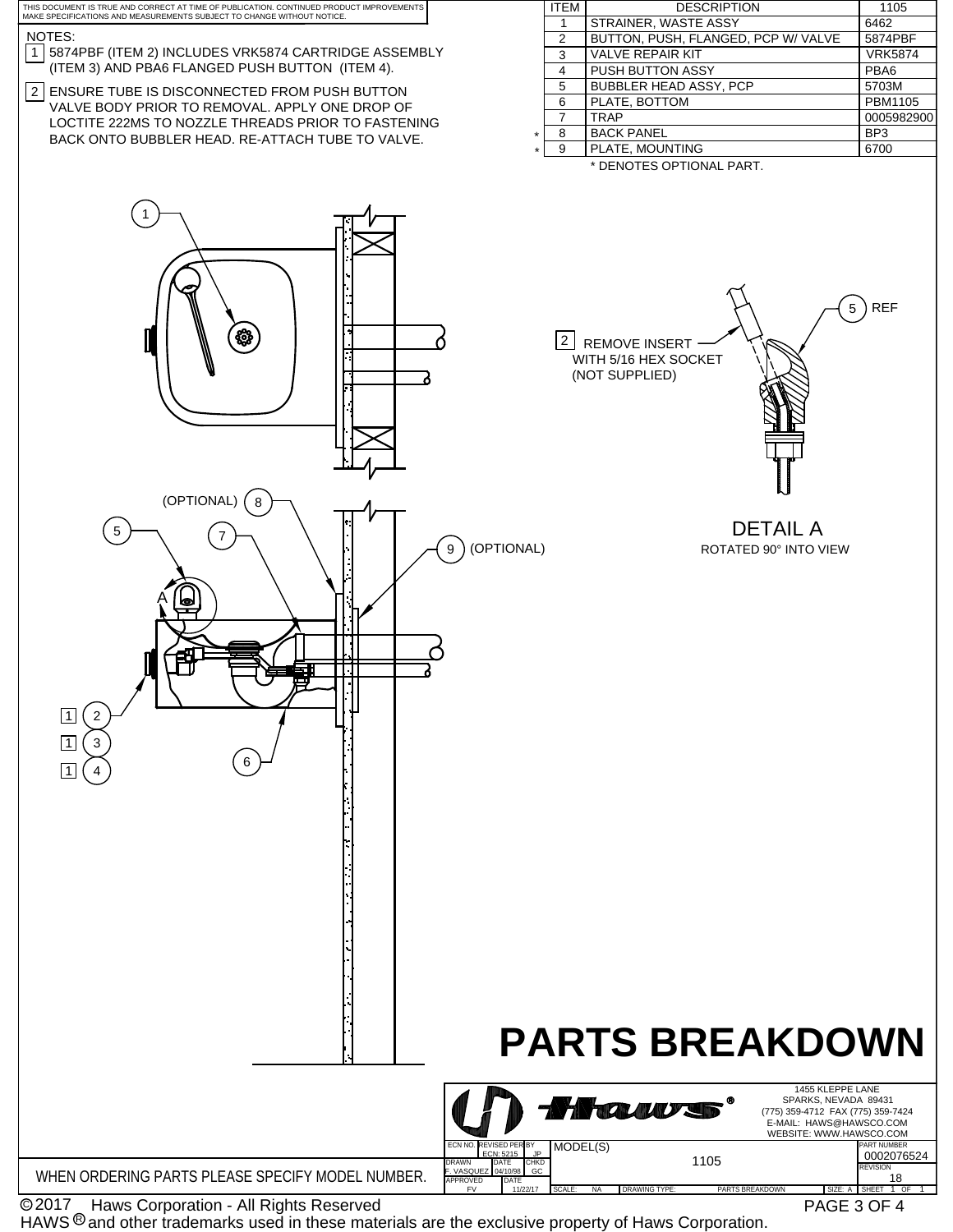

HAWS  $@$  and other trademarks used in these materials are the exclusive property of Haws Corporation.